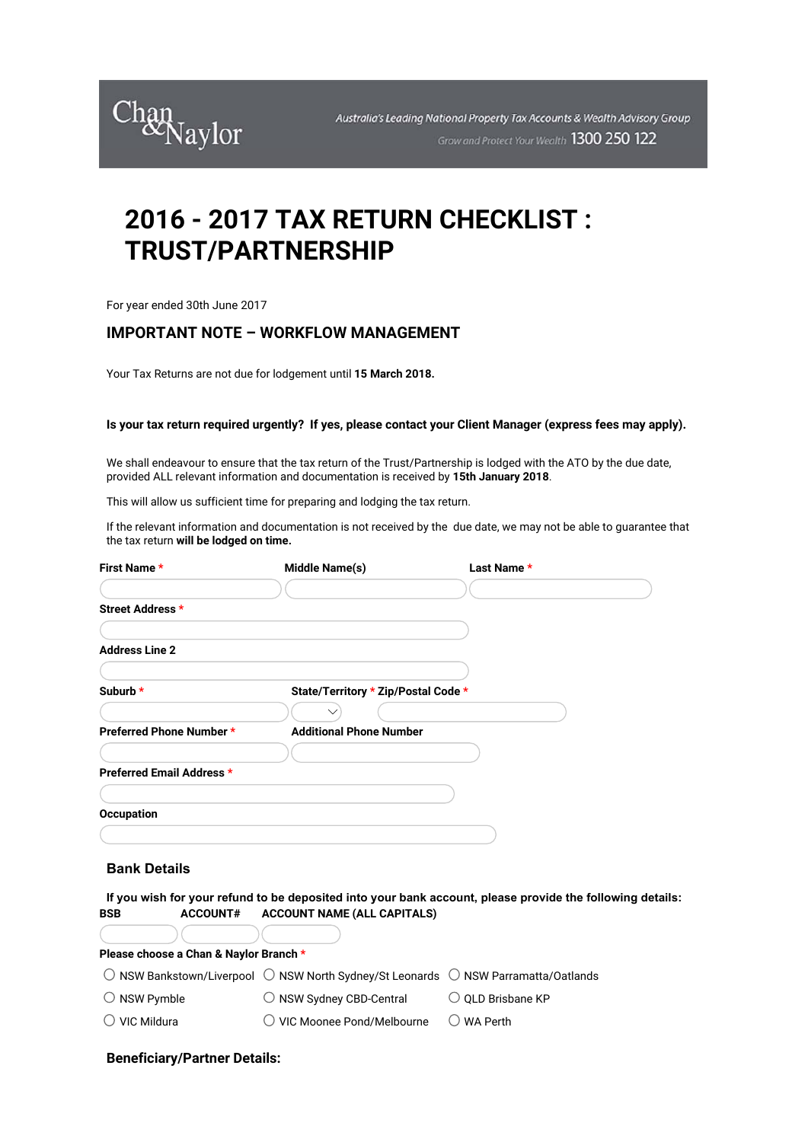

# **2016 - 2017 TAX RETURN CHECKLIST : TRUST/PARTNERSHIP**

For year ended 30th June 2017

## **IMPORTANT NOTE – WORKFLOW MANAGEMENT**

Your Tax Returns are not due for lodgement until **15 March 2018.**

### **Is your tax return required urgently? If yes, please contact your Client Manager (express fees may apply).**

We shall endeavour to ensure that the tax return of the Trust/Partnership is lodged with the ATO by the due date, provided ALL relevant information and documentation is received by **15th January 2018**.

This will allow us sufficient time for preparing and lodging the tax return.

If the relevant information and documentation is not received by the due date, we may not be able to guarantee that the tax return **will be lodged on time.**

| First Name *                           | Middle Name(s)                                                                   | Last Name *                                                                                               |
|----------------------------------------|----------------------------------------------------------------------------------|-----------------------------------------------------------------------------------------------------------|
|                                        |                                                                                  |                                                                                                           |
| Street Address *                       |                                                                                  |                                                                                                           |
|                                        |                                                                                  |                                                                                                           |
| <b>Address Line 2</b>                  |                                                                                  |                                                                                                           |
|                                        |                                                                                  |                                                                                                           |
| Suburb *                               | State/Territory * Zip/Postal Code *                                              |                                                                                                           |
|                                        |                                                                                  |                                                                                                           |
| Preferred Phone Number *               | <b>Additional Phone Number</b>                                                   |                                                                                                           |
|                                        |                                                                                  |                                                                                                           |
| Preferred Email Address *              |                                                                                  |                                                                                                           |
|                                        |                                                                                  |                                                                                                           |
| <b>Occupation</b>                      |                                                                                  |                                                                                                           |
|                                        |                                                                                  |                                                                                                           |
| <b>Bank Details</b>                    |                                                                                  |                                                                                                           |
|                                        |                                                                                  |                                                                                                           |
| <b>ACCOUNT#</b><br><b>BSB</b>          | <b>ACCOUNT NAME (ALL CAPITALS)</b>                                               | If you wish for your refund to be deposited into your bank account, please provide the following details: |
|                                        |                                                                                  |                                                                                                           |
| Please choose a Chan & Naylor Branch * |                                                                                  |                                                                                                           |
|                                        | NSW Bankstown/Liverpool ◯ NSW North Sydney/St Leonards ◯ NSW Parramatta/Oatlands |                                                                                                           |
| $\bigcirc$ NSW Pymble                  | $\cup$ NSW Sydney CBD-Central                                                    | $\cup$ QLD Brisbane KP                                                                                    |
| VIC Mildura                            | VIC Moonee Pond/Melbourne                                                        | <b>WA Perth</b>                                                                                           |
|                                        |                                                                                  |                                                                                                           |

#### **Beneficiary/Partner Details:**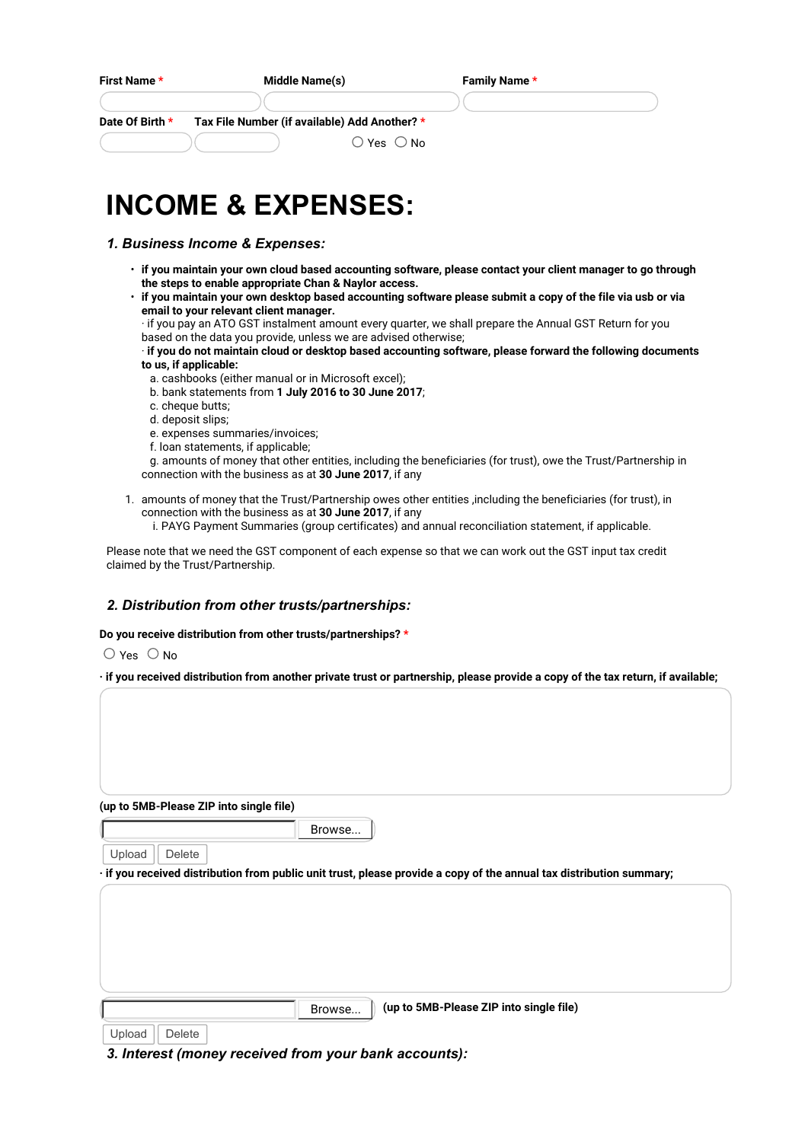| First Name *    | Middle Name(s)                                                                | Family Name * |
|-----------------|-------------------------------------------------------------------------------|---------------|
| Date Of Birth * | Tax File Number (if available) Add Another? *<br>$\bigcirc$ Yes $\bigcirc$ No |               |
|                 | <b>INCOME &amp; EXPENSES:</b>                                                 |               |

## *1. Business Income & Expenses:*

- **if you maintain your own cloud based accounting software, please contact your client manager to go through the steps to enable appropriate Chan & Naylor access.**
- **if you maintain your own desktop based accounting software please submit a copy of the file via usb or via email to your relevant client manager.**
	- · if you pay an ATO GST instalment amount every quarter, we shall prepare the Annual GST Return for you based on the data you provide, unless we are advised otherwise;

· **if you do not maintain cloud or desktop based accounting software, please forward the following documents to us, if applicable:**

- a. cashbooks (either manual or in Microsoft excel);
- b. bank statements from **1 July 2016 to 30 June 2017**;
- c. cheque butts;
- d. deposit slips;
- e. expenses summaries/invoices;
- f. loan statements, if applicable;
- g. amounts of money that other entities, including the beneficiaries (for trust), owe the Trust/Partnership in connection with the business as at **30 June 2017**, if any
- 1. amounts of money that the Trust/Partnership owes other entities ,including the beneficiaries (for trust), in connection with the business as at **30 June 2017**, if any
	- i. PAYG Payment Summaries (group certificates) and annual reconciliation statement, if applicable.

Please note that we need the GST component of each expense so that we can work out the GST input tax credit claimed by the Trust/Partnership.

### *2. Distribution from other trusts/partnerships:*

#### **Do you receive distribution from other trusts/partnerships? \***

 $\bigcirc$  Yes  $\bigcirc$  No

**· if you received distribution from another private trust or partnership, please provide a copy of the tax return, if available;**

**(up to 5MB-Please ZIP into single file)**

Browse...

Upload  $\parallel$  Delete

**· if you received distribution from public unit trust, please provide a copy of the annual tax distribution summary;**

Browse... **(up to 5MB-Please ZIP into single file)**

Upload  $\parallel$  Delete

*3. Interest (money received from your bank accounts):*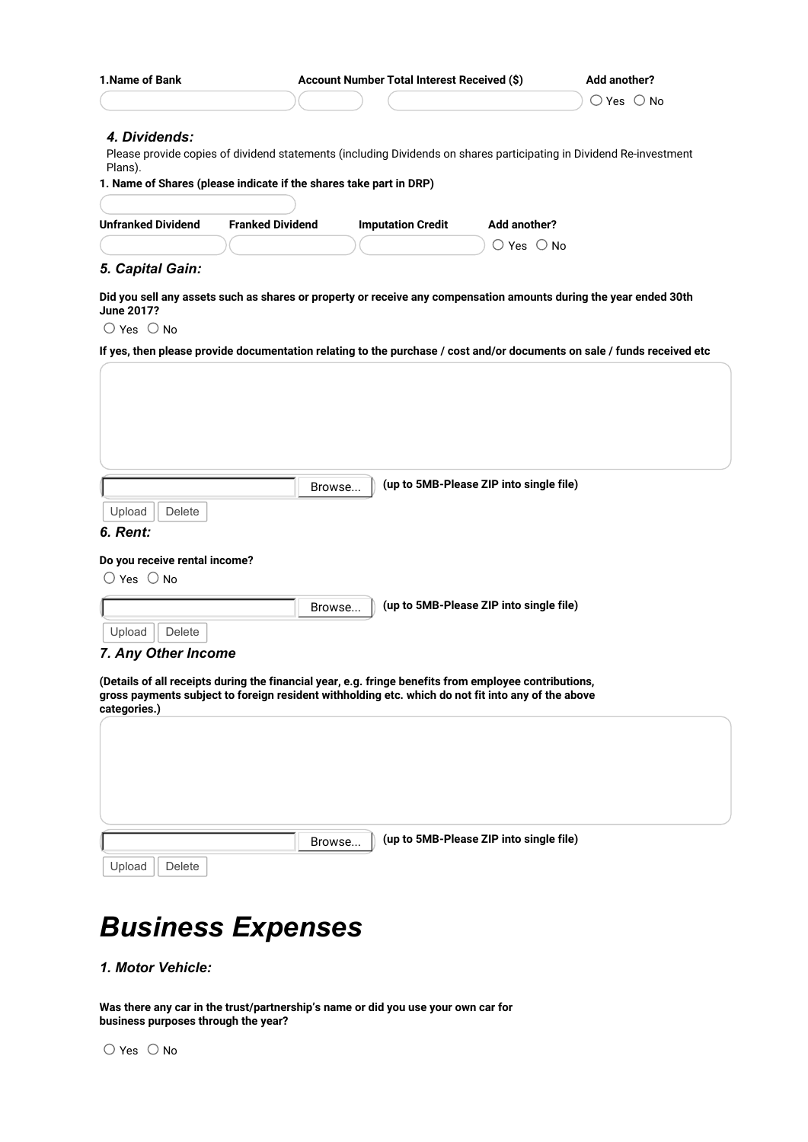|                                                                                                                                                                                                                                                    |                         | Account Number Total Interest Received (\$) |                                         | <b>Add another?</b>          |
|----------------------------------------------------------------------------------------------------------------------------------------------------------------------------------------------------------------------------------------------------|-------------------------|---------------------------------------------|-----------------------------------------|------------------------------|
|                                                                                                                                                                                                                                                    |                         |                                             |                                         | $\bigcirc$ Yes $\bigcirc$ No |
| 4. Dividends:                                                                                                                                                                                                                                      |                         |                                             |                                         |                              |
| Please provide copies of dividend statements (including Dividends on shares participating in Dividend Re-investment<br>Plans).                                                                                                                     |                         |                                             |                                         |                              |
| 1. Name of Shares (please indicate if the shares take part in DRP)                                                                                                                                                                                 |                         |                                             |                                         |                              |
|                                                                                                                                                                                                                                                    |                         |                                             |                                         |                              |
| <b>Unfranked Dividend</b>                                                                                                                                                                                                                          | <b>Franked Dividend</b> | <b>Imputation Credit</b>                    | Add another?                            |                              |
|                                                                                                                                                                                                                                                    |                         |                                             | $\bigcirc$ Yes $\bigcirc$ No            |                              |
| 5. Capital Gain:                                                                                                                                                                                                                                   |                         |                                             |                                         |                              |
| Did you sell any assets such as shares or property or receive any compensation amounts during the year ended 30th<br><b>June 2017?</b>                                                                                                             |                         |                                             |                                         |                              |
| $\bigcirc$ Yes $\bigcirc$ No                                                                                                                                                                                                                       |                         |                                             |                                         |                              |
| If yes, then please provide documentation relating to the purchase / cost and/or documents on sale / funds received etc                                                                                                                            |                         |                                             |                                         |                              |
|                                                                                                                                                                                                                                                    |                         |                                             |                                         |                              |
|                                                                                                                                                                                                                                                    |                         |                                             |                                         |                              |
|                                                                                                                                                                                                                                                    |                         |                                             |                                         |                              |
|                                                                                                                                                                                                                                                    |                         |                                             |                                         |                              |
|                                                                                                                                                                                                                                                    |                         |                                             |                                         |                              |
|                                                                                                                                                                                                                                                    |                         |                                             |                                         |                              |
|                                                                                                                                                                                                                                                    |                         |                                             |                                         |                              |
|                                                                                                                                                                                                                                                    | Browse                  |                                             | (up to 5MB-Please ZIP into single file) |                              |
| Upload<br><b>Delete</b>                                                                                                                                                                                                                            |                         |                                             |                                         |                              |
| 6. Rent:                                                                                                                                                                                                                                           |                         |                                             |                                         |                              |
|                                                                                                                                                                                                                                                    |                         |                                             |                                         |                              |
| Do you receive rental income?                                                                                                                                                                                                                      |                         |                                             |                                         |                              |
| $\bigcirc$ Yes $\bigcirc$ No                                                                                                                                                                                                                       |                         |                                             |                                         |                              |
|                                                                                                                                                                                                                                                    |                         | Browse                                      | (up to 5MB-Please ZIP into single file) |                              |
|                                                                                                                                                                                                                                                    |                         |                                             |                                         |                              |
|                                                                                                                                                                                                                                                    |                         |                                             |                                         |                              |
| Upload<br>Delete                                                                                                                                                                                                                                   |                         |                                             |                                         |                              |
|                                                                                                                                                                                                                                                    |                         |                                             |                                         |                              |
|                                                                                                                                                                                                                                                    |                         |                                             |                                         |                              |
|                                                                                                                                                                                                                                                    |                         |                                             |                                         |                              |
|                                                                                                                                                                                                                                                    |                         |                                             |                                         |                              |
|                                                                                                                                                                                                                                                    |                         |                                             |                                         |                              |
|                                                                                                                                                                                                                                                    |                         |                                             |                                         |                              |
|                                                                                                                                                                                                                                                    |                         |                                             |                                         |                              |
|                                                                                                                                                                                                                                                    |                         |                                             |                                         |                              |
| 7. Any Other Income<br>(Details of all receipts during the financial year, e.g. fringe benefits from employee contributions,<br>gross payments subject to foreign resident withholding etc. which do not fit into any of the above<br>categories.) |                         |                                             |                                         |                              |
|                                                                                                                                                                                                                                                    |                         |                                             |                                         |                              |
|                                                                                                                                                                                                                                                    | Browse                  |                                             | (up to 5MB-Please ZIP into single file) |                              |

# *Business Expenses*

*1. Motor Vehicle:* 

**Was there any car in the trust/partnership's name or did you use your own car for business purposes through the year?**

 $\bigcirc$  Yes  $\bigcirc$  No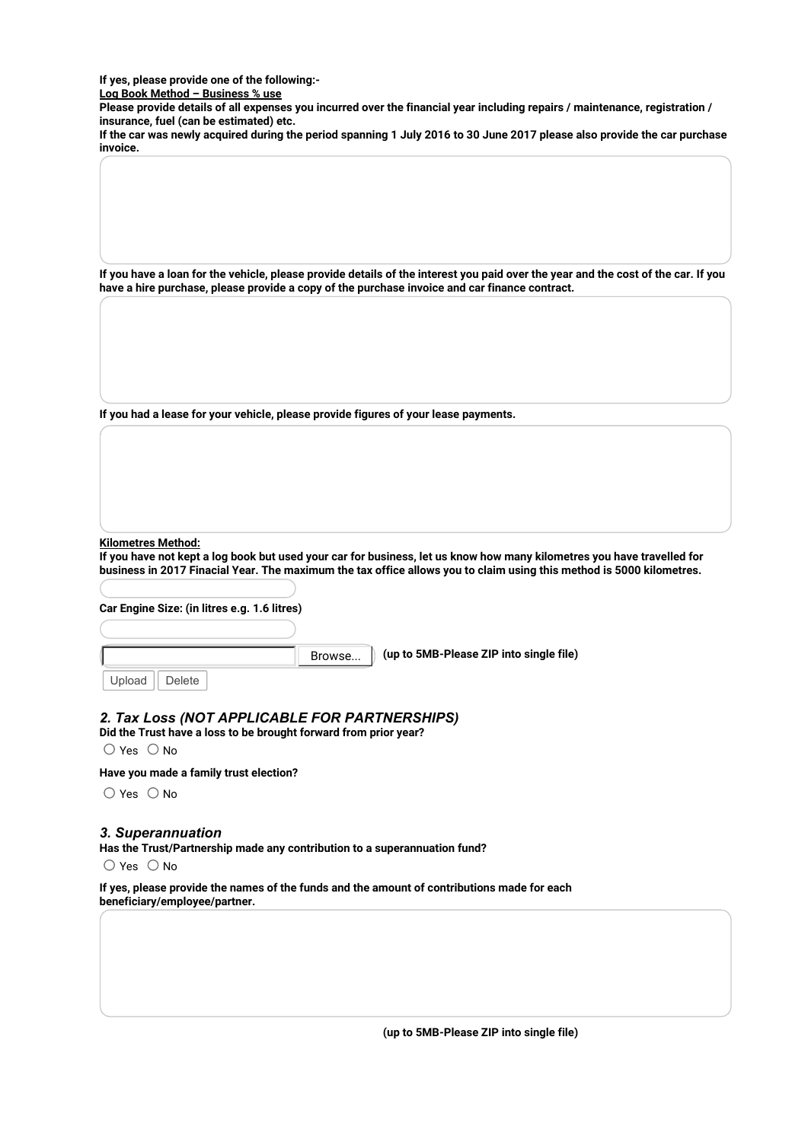**If yes, please provide one of the following:-**

**Log Book Method – Business % use**

**Please provide details of all expenses you incurred over the financial year including repairs / maintenance, registration / insurance, fuel (can be estimated) etc.** 

**If the car was newly acquired during the period spanning 1 July 2016 to 30 June 2017 please also provide the car purchase invoice.**

**If you have a loan for the vehicle, please provide details of the interest you paid over the year and the cost of the car. If you have a hire purchase, please provide a copy of the purchase invoice and car finance contract.**

**If you had a lease for your vehicle, please provide figures of your lease payments.**

**Kilometres Method:** 

**If you have not kept a log book but used your car for business, let us know how many kilometres you have travelled for business in 2017 Finacial Year. The maximum the tax office allows you to claim using this method is 5000 kilometres.**

**Car Engine Size: (in litres e.g. 1.6 litres)**

Browse...

**(up to 5MB-Please ZIP into single file)**

Upload Delete

## *2. Tax Loss (NOT APPLICABLE FOR PARTNERSHIPS)*

**Did the Trust have a loss to be brought forward from prior year?**

 $\bigcirc$  Yes  $\bigcirc$  No

**Have you made a family trust election?**

 $\bigcirc$  Yes  $\bigcirc$  No

#### *3. Superannuation*

**Has the Trust/Partnership made any contribution to a superannuation fund?**

 $\bigcirc$  Yes  $\bigcirc$  No

**If yes, please provide the names of the funds and the amount of contributions made for each beneficiary/employee/partner.**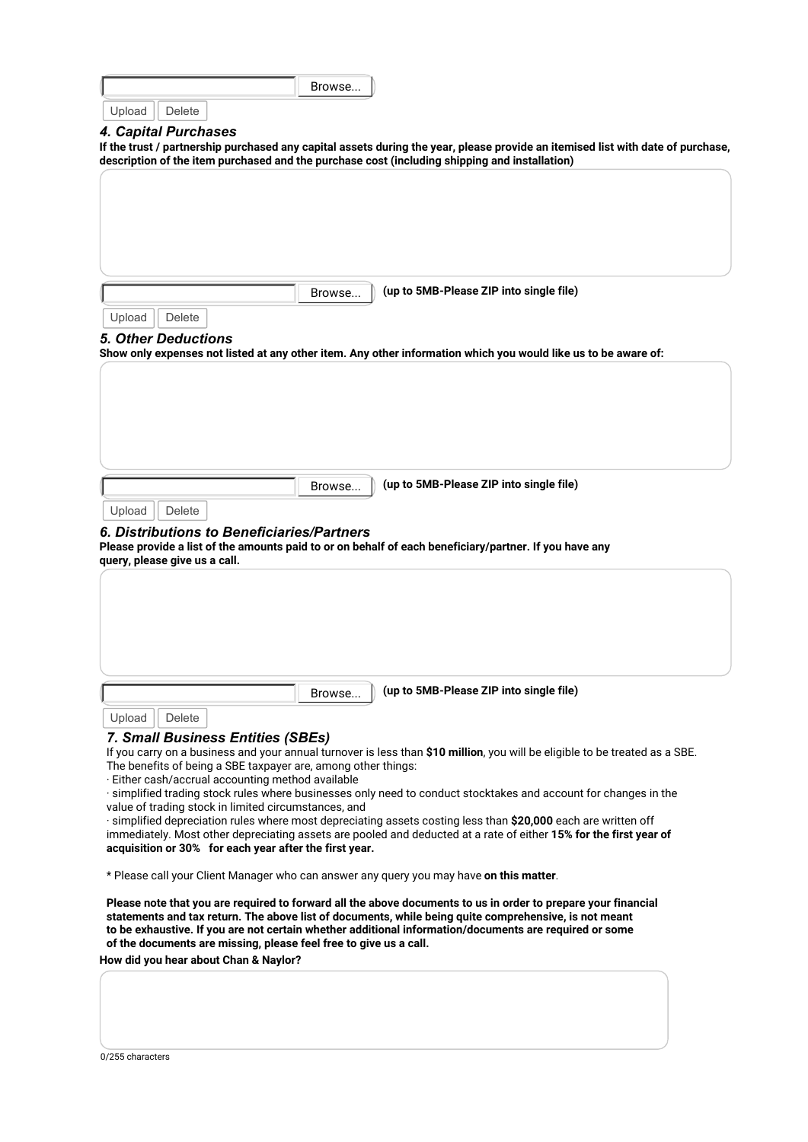| <b>Delete</b><br>If the trust / partnership purchased any capital assets during the year, please provide an itemised list with date of purchase,<br>description of the item purchased and the purchase cost (including shipping and installation)<br>(up to 5MB-Please ZIP into single file)<br>Browse.<br>Upload<br>Delete<br><b>5. Other Deductions</b><br>Show only expenses not listed at any other item. Any other information which you would like us to be aware of:<br>(up to 5MB-Please ZIP into single file)<br>Browse.<br>Upload<br>Delete<br>6. Distributions to Beneficiaries/Partners<br>Please provide a list of the amounts paid to or on behalf of each beneficiary/partner. If you have any<br>query, please give us a call.<br>(up to 5MB-Please ZIP into single file)<br>Browse<br>Upload<br>Delete<br>7. Small Business Entities (SBEs)<br>If you carry on a business and your annual turnover is less than \$10 million, you will be eligible to be treated as a SBE.<br>The benefits of being a SBE taxpayer are, among other things:<br>· Either cash/accrual accounting method available<br>· simplified trading stock rules where businesses only need to conduct stocktakes and account for changes in the<br>value of trading stock in limited circumstances, and<br>$\cdot$ simplified depreciation rules where most depreciating assets costing less than \$20,000 each are written off<br>immediately. Most other depreciating assets are pooled and deducted at a rate of either 15% for the first year of<br>acquisition or 30% for each year after the first year.<br>* Please call your Client Manager who can answer any query you may have on this matter.<br>Please note that you are required to forward all the above documents to us in order to prepare your financial<br>statements and tax return. The above list of documents, while being quite comprehensive, is not meant<br>to be exhaustive. If you are not certain whether additional information/documents are required or some<br>of the documents are missing, please feel free to give us a call.<br>How did you hear about Chan & Naylor? |                      | Browse |  |
|---------------------------------------------------------------------------------------------------------------------------------------------------------------------------------------------------------------------------------------------------------------------------------------------------------------------------------------------------------------------------------------------------------------------------------------------------------------------------------------------------------------------------------------------------------------------------------------------------------------------------------------------------------------------------------------------------------------------------------------------------------------------------------------------------------------------------------------------------------------------------------------------------------------------------------------------------------------------------------------------------------------------------------------------------------------------------------------------------------------------------------------------------------------------------------------------------------------------------------------------------------------------------------------------------------------------------------------------------------------------------------------------------------------------------------------------------------------------------------------------------------------------------------------------------------------------------------------------------------------------------------------------------------------------------------------------------------------------------------------------------------------------------------------------------------------------------------------------------------------------------------------------------------------------------------------------------------------------------------------------------------------------------------------------------------------------------------------------------------------------------------------------------|----------------------|--------|--|
|                                                                                                                                                                                                                                                                                                                                                                                                                                                                                                                                                                                                                                                                                                                                                                                                                                                                                                                                                                                                                                                                                                                                                                                                                                                                                                                                                                                                                                                                                                                                                                                                                                                                                                                                                                                                                                                                                                                                                                                                                                                                                                                                                   | Upload               |        |  |
|                                                                                                                                                                                                                                                                                                                                                                                                                                                                                                                                                                                                                                                                                                                                                                                                                                                                                                                                                                                                                                                                                                                                                                                                                                                                                                                                                                                                                                                                                                                                                                                                                                                                                                                                                                                                                                                                                                                                                                                                                                                                                                                                                   | 4. Capital Purchases |        |  |
|                                                                                                                                                                                                                                                                                                                                                                                                                                                                                                                                                                                                                                                                                                                                                                                                                                                                                                                                                                                                                                                                                                                                                                                                                                                                                                                                                                                                                                                                                                                                                                                                                                                                                                                                                                                                                                                                                                                                                                                                                                                                                                                                                   |                      |        |  |
|                                                                                                                                                                                                                                                                                                                                                                                                                                                                                                                                                                                                                                                                                                                                                                                                                                                                                                                                                                                                                                                                                                                                                                                                                                                                                                                                                                                                                                                                                                                                                                                                                                                                                                                                                                                                                                                                                                                                                                                                                                                                                                                                                   |                      |        |  |
|                                                                                                                                                                                                                                                                                                                                                                                                                                                                                                                                                                                                                                                                                                                                                                                                                                                                                                                                                                                                                                                                                                                                                                                                                                                                                                                                                                                                                                                                                                                                                                                                                                                                                                                                                                                                                                                                                                                                                                                                                                                                                                                                                   |                      |        |  |
|                                                                                                                                                                                                                                                                                                                                                                                                                                                                                                                                                                                                                                                                                                                                                                                                                                                                                                                                                                                                                                                                                                                                                                                                                                                                                                                                                                                                                                                                                                                                                                                                                                                                                                                                                                                                                                                                                                                                                                                                                                                                                                                                                   |                      |        |  |
|                                                                                                                                                                                                                                                                                                                                                                                                                                                                                                                                                                                                                                                                                                                                                                                                                                                                                                                                                                                                                                                                                                                                                                                                                                                                                                                                                                                                                                                                                                                                                                                                                                                                                                                                                                                                                                                                                                                                                                                                                                                                                                                                                   |                      |        |  |
|                                                                                                                                                                                                                                                                                                                                                                                                                                                                                                                                                                                                                                                                                                                                                                                                                                                                                                                                                                                                                                                                                                                                                                                                                                                                                                                                                                                                                                                                                                                                                                                                                                                                                                                                                                                                                                                                                                                                                                                                                                                                                                                                                   |                      |        |  |
|                                                                                                                                                                                                                                                                                                                                                                                                                                                                                                                                                                                                                                                                                                                                                                                                                                                                                                                                                                                                                                                                                                                                                                                                                                                                                                                                                                                                                                                                                                                                                                                                                                                                                                                                                                                                                                                                                                                                                                                                                                                                                                                                                   |                      |        |  |
|                                                                                                                                                                                                                                                                                                                                                                                                                                                                                                                                                                                                                                                                                                                                                                                                                                                                                                                                                                                                                                                                                                                                                                                                                                                                                                                                                                                                                                                                                                                                                                                                                                                                                                                                                                                                                                                                                                                                                                                                                                                                                                                                                   |                      |        |  |
|                                                                                                                                                                                                                                                                                                                                                                                                                                                                                                                                                                                                                                                                                                                                                                                                                                                                                                                                                                                                                                                                                                                                                                                                                                                                                                                                                                                                                                                                                                                                                                                                                                                                                                                                                                                                                                                                                                                                                                                                                                                                                                                                                   |                      |        |  |
|                                                                                                                                                                                                                                                                                                                                                                                                                                                                                                                                                                                                                                                                                                                                                                                                                                                                                                                                                                                                                                                                                                                                                                                                                                                                                                                                                                                                                                                                                                                                                                                                                                                                                                                                                                                                                                                                                                                                                                                                                                                                                                                                                   |                      |        |  |
|                                                                                                                                                                                                                                                                                                                                                                                                                                                                                                                                                                                                                                                                                                                                                                                                                                                                                                                                                                                                                                                                                                                                                                                                                                                                                                                                                                                                                                                                                                                                                                                                                                                                                                                                                                                                                                                                                                                                                                                                                                                                                                                                                   |                      |        |  |
|                                                                                                                                                                                                                                                                                                                                                                                                                                                                                                                                                                                                                                                                                                                                                                                                                                                                                                                                                                                                                                                                                                                                                                                                                                                                                                                                                                                                                                                                                                                                                                                                                                                                                                                                                                                                                                                                                                                                                                                                                                                                                                                                                   |                      |        |  |
|                                                                                                                                                                                                                                                                                                                                                                                                                                                                                                                                                                                                                                                                                                                                                                                                                                                                                                                                                                                                                                                                                                                                                                                                                                                                                                                                                                                                                                                                                                                                                                                                                                                                                                                                                                                                                                                                                                                                                                                                                                                                                                                                                   |                      |        |  |
|                                                                                                                                                                                                                                                                                                                                                                                                                                                                                                                                                                                                                                                                                                                                                                                                                                                                                                                                                                                                                                                                                                                                                                                                                                                                                                                                                                                                                                                                                                                                                                                                                                                                                                                                                                                                                                                                                                                                                                                                                                                                                                                                                   |                      |        |  |
|                                                                                                                                                                                                                                                                                                                                                                                                                                                                                                                                                                                                                                                                                                                                                                                                                                                                                                                                                                                                                                                                                                                                                                                                                                                                                                                                                                                                                                                                                                                                                                                                                                                                                                                                                                                                                                                                                                                                                                                                                                                                                                                                                   |                      |        |  |
|                                                                                                                                                                                                                                                                                                                                                                                                                                                                                                                                                                                                                                                                                                                                                                                                                                                                                                                                                                                                                                                                                                                                                                                                                                                                                                                                                                                                                                                                                                                                                                                                                                                                                                                                                                                                                                                                                                                                                                                                                                                                                                                                                   |                      |        |  |
|                                                                                                                                                                                                                                                                                                                                                                                                                                                                                                                                                                                                                                                                                                                                                                                                                                                                                                                                                                                                                                                                                                                                                                                                                                                                                                                                                                                                                                                                                                                                                                                                                                                                                                                                                                                                                                                                                                                                                                                                                                                                                                                                                   |                      |        |  |
|                                                                                                                                                                                                                                                                                                                                                                                                                                                                                                                                                                                                                                                                                                                                                                                                                                                                                                                                                                                                                                                                                                                                                                                                                                                                                                                                                                                                                                                                                                                                                                                                                                                                                                                                                                                                                                                                                                                                                                                                                                                                                                                                                   |                      |        |  |
|                                                                                                                                                                                                                                                                                                                                                                                                                                                                                                                                                                                                                                                                                                                                                                                                                                                                                                                                                                                                                                                                                                                                                                                                                                                                                                                                                                                                                                                                                                                                                                                                                                                                                                                                                                                                                                                                                                                                                                                                                                                                                                                                                   |                      |        |  |
|                                                                                                                                                                                                                                                                                                                                                                                                                                                                                                                                                                                                                                                                                                                                                                                                                                                                                                                                                                                                                                                                                                                                                                                                                                                                                                                                                                                                                                                                                                                                                                                                                                                                                                                                                                                                                                                                                                                                                                                                                                                                                                                                                   |                      |        |  |
|                                                                                                                                                                                                                                                                                                                                                                                                                                                                                                                                                                                                                                                                                                                                                                                                                                                                                                                                                                                                                                                                                                                                                                                                                                                                                                                                                                                                                                                                                                                                                                                                                                                                                                                                                                                                                                                                                                                                                                                                                                                                                                                                                   |                      |        |  |
|                                                                                                                                                                                                                                                                                                                                                                                                                                                                                                                                                                                                                                                                                                                                                                                                                                                                                                                                                                                                                                                                                                                                                                                                                                                                                                                                                                                                                                                                                                                                                                                                                                                                                                                                                                                                                                                                                                                                                                                                                                                                                                                                                   |                      |        |  |
|                                                                                                                                                                                                                                                                                                                                                                                                                                                                                                                                                                                                                                                                                                                                                                                                                                                                                                                                                                                                                                                                                                                                                                                                                                                                                                                                                                                                                                                                                                                                                                                                                                                                                                                                                                                                                                                                                                                                                                                                                                                                                                                                                   |                      |        |  |
|                                                                                                                                                                                                                                                                                                                                                                                                                                                                                                                                                                                                                                                                                                                                                                                                                                                                                                                                                                                                                                                                                                                                                                                                                                                                                                                                                                                                                                                                                                                                                                                                                                                                                                                                                                                                                                                                                                                                                                                                                                                                                                                                                   |                      |        |  |
|                                                                                                                                                                                                                                                                                                                                                                                                                                                                                                                                                                                                                                                                                                                                                                                                                                                                                                                                                                                                                                                                                                                                                                                                                                                                                                                                                                                                                                                                                                                                                                                                                                                                                                                                                                                                                                                                                                                                                                                                                                                                                                                                                   |                      |        |  |
|                                                                                                                                                                                                                                                                                                                                                                                                                                                                                                                                                                                                                                                                                                                                                                                                                                                                                                                                                                                                                                                                                                                                                                                                                                                                                                                                                                                                                                                                                                                                                                                                                                                                                                                                                                                                                                                                                                                                                                                                                                                                                                                                                   |                      |        |  |
|                                                                                                                                                                                                                                                                                                                                                                                                                                                                                                                                                                                                                                                                                                                                                                                                                                                                                                                                                                                                                                                                                                                                                                                                                                                                                                                                                                                                                                                                                                                                                                                                                                                                                                                                                                                                                                                                                                                                                                                                                                                                                                                                                   |                      |        |  |
|                                                                                                                                                                                                                                                                                                                                                                                                                                                                                                                                                                                                                                                                                                                                                                                                                                                                                                                                                                                                                                                                                                                                                                                                                                                                                                                                                                                                                                                                                                                                                                                                                                                                                                                                                                                                                                                                                                                                                                                                                                                                                                                                                   |                      |        |  |
|                                                                                                                                                                                                                                                                                                                                                                                                                                                                                                                                                                                                                                                                                                                                                                                                                                                                                                                                                                                                                                                                                                                                                                                                                                                                                                                                                                                                                                                                                                                                                                                                                                                                                                                                                                                                                                                                                                                                                                                                                                                                                                                                                   |                      |        |  |
|                                                                                                                                                                                                                                                                                                                                                                                                                                                                                                                                                                                                                                                                                                                                                                                                                                                                                                                                                                                                                                                                                                                                                                                                                                                                                                                                                                                                                                                                                                                                                                                                                                                                                                                                                                                                                                                                                                                                                                                                                                                                                                                                                   |                      |        |  |
|                                                                                                                                                                                                                                                                                                                                                                                                                                                                                                                                                                                                                                                                                                                                                                                                                                                                                                                                                                                                                                                                                                                                                                                                                                                                                                                                                                                                                                                                                                                                                                                                                                                                                                                                                                                                                                                                                                                                                                                                                                                                                                                                                   |                      |        |  |
|                                                                                                                                                                                                                                                                                                                                                                                                                                                                                                                                                                                                                                                                                                                                                                                                                                                                                                                                                                                                                                                                                                                                                                                                                                                                                                                                                                                                                                                                                                                                                                                                                                                                                                                                                                                                                                                                                                                                                                                                                                                                                                                                                   |                      |        |  |
|                                                                                                                                                                                                                                                                                                                                                                                                                                                                                                                                                                                                                                                                                                                                                                                                                                                                                                                                                                                                                                                                                                                                                                                                                                                                                                                                                                                                                                                                                                                                                                                                                                                                                                                                                                                                                                                                                                                                                                                                                                                                                                                                                   |                      |        |  |
|                                                                                                                                                                                                                                                                                                                                                                                                                                                                                                                                                                                                                                                                                                                                                                                                                                                                                                                                                                                                                                                                                                                                                                                                                                                                                                                                                                                                                                                                                                                                                                                                                                                                                                                                                                                                                                                                                                                                                                                                                                                                                                                                                   |                      |        |  |
|                                                                                                                                                                                                                                                                                                                                                                                                                                                                                                                                                                                                                                                                                                                                                                                                                                                                                                                                                                                                                                                                                                                                                                                                                                                                                                                                                                                                                                                                                                                                                                                                                                                                                                                                                                                                                                                                                                                                                                                                                                                                                                                                                   |                      |        |  |